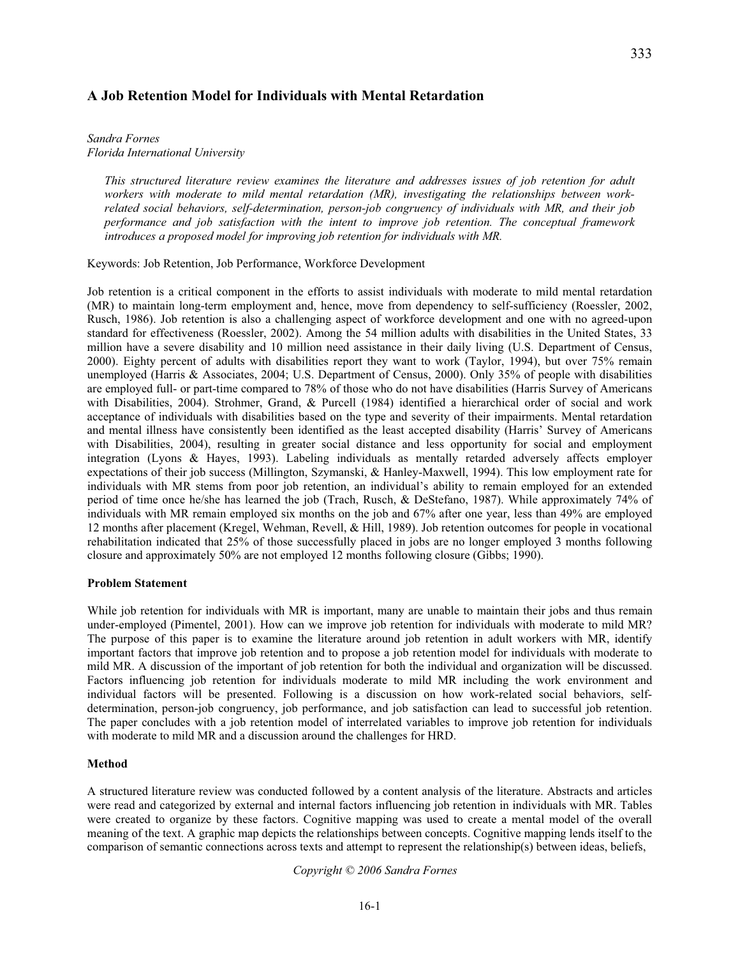# **A Job Retention Model for Individuals with Mental Retardation**

#### *Sandra Fornes Florida International University*

*This structured literature review examines the literature and addresses issues of job retention for adult workers with moderate to mild mental retardation (MR), investigating the relationships between workrelated social behaviors, self-determination, person-job congruency of individuals with MR, and their job performance and job satisfaction with the intent to improve job retention. The conceptual framework introduces a proposed model for improving job retention for individuals with MR.* 

Keywords: Job Retention, Job Performance, Workforce Development

Job retention is a critical component in the efforts to assist individuals with moderate to mild mental retardation (MR) to maintain long-term employment and, hence, move from dependency to self-sufficiency (Roessler, 2002, Rusch, 1986). Job retention is also a challenging aspect of workforce development and one with no agreed-upon standard for effectiveness (Roessler, 2002). Among the 54 million adults with disabilities in the United States, 33 million have a severe disability and 10 million need assistance in their daily living (U.S. Department of Census, 2000). Eighty percent of adults with disabilities report they want to work (Taylor, 1994), but over 75% remain unemployed (Harris & Associates, 2004; U.S. Department of Census, 2000). Only 35% of people with disabilities are employed full- or part-time compared to 78% of those who do not have disabilities (Harris Survey of Americans with Disabilities, 2004). Strohmer, Grand, & Purcell (1984) identified a hierarchical order of social and work acceptance of individuals with disabilities based on the type and severity of their impairments. Mental retardation and mental illness have consistently been identified as the least accepted disability (Harris' Survey of Americans with Disabilities, 2004), resulting in greater social distance and less opportunity for social and employment integration (Lyons & Hayes, 1993). Labeling individuals as mentally retarded adversely affects employer expectations of their job success (Millington, Szymanski, & Hanley-Maxwell, 1994). This low employment rate for individuals with MR stems from poor job retention, an individual's ability to remain employed for an extended period of time once he/she has learned the job (Trach, Rusch, & DeStefano, 1987). While approximately 74% of individuals with MR remain employed six months on the job and 67% after one year, less than 49% are employed 12 months after placement (Kregel, Wehman, Revell, & Hill, 1989). Job retention outcomes for people in vocational rehabilitation indicated that 25% of those successfully placed in jobs are no longer employed 3 months following closure and approximately 50% are not employed 12 months following closure (Gibbs; 1990).

#### **Problem Statement**

While job retention for individuals with MR is important, many are unable to maintain their jobs and thus remain under-employed (Pimentel, 2001). How can we improve job retention for individuals with moderate to mild MR? The purpose of this paper is to examine the literature around job retention in adult workers with MR, identify important factors that improve job retention and to propose a job retention model for individuals with moderate to mild MR. A discussion of the important of job retention for both the individual and organization will be discussed. Factors influencing job retention for individuals moderate to mild MR including the work environment and individual factors will be presented. Following is a discussion on how work-related social behaviors, selfdetermination, person-job congruency, job performance, and job satisfaction can lead to successful job retention. The paper concludes with a job retention model of interrelated variables to improve job retention for individuals with moderate to mild MR and a discussion around the challenges for HRD.

# **Method**

A structured literature review was conducted followed by a content analysis of the literature. Abstracts and articles were read and categorized by external and internal factors influencing job retention in individuals with MR. Tables were created to organize by these factors. Cognitive mapping was used to create a mental model of the overall meaning of the text. A graphic map depicts the relationships between concepts. Cognitive mapping lends itself to the comparison of semantic connections across texts and attempt to represent the relationship(s) between ideas, beliefs,

*Copyright © 2006 Sandra Fornes*

16-1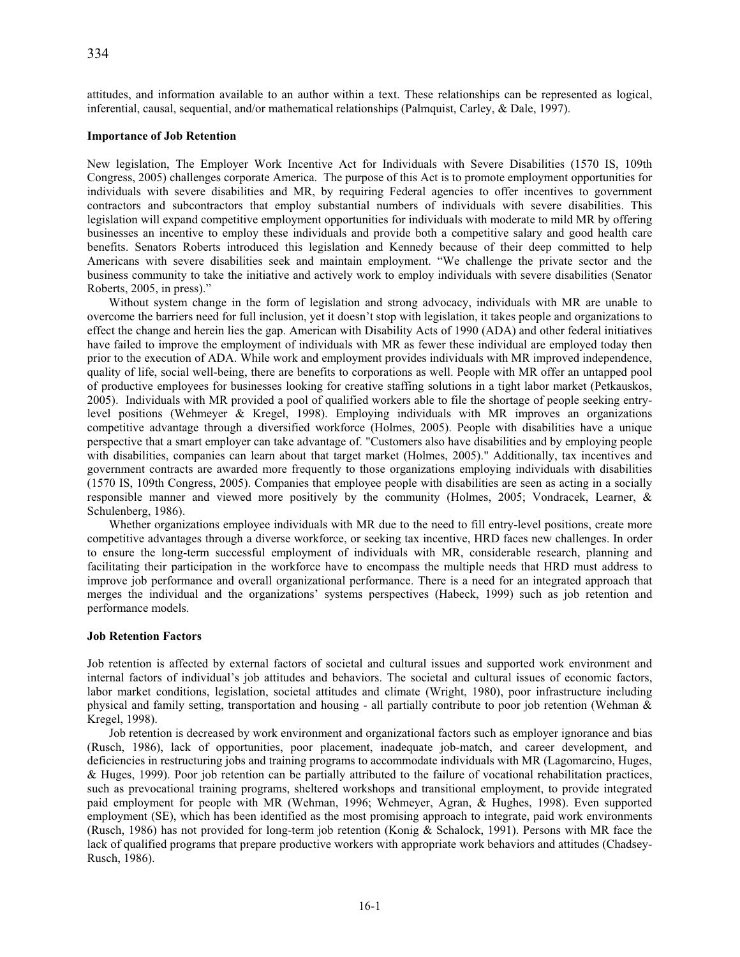attitudes, and information available to an author within a text. These relationships can be represented as logical, inferential, causal, sequential, and/or mathematical relationships (Palmquist, Carley, & Dale, 1997).

### **Importance of Job Retention**

New legislation, The Employer Work Incentive Act for Individuals with Severe Disabilities (1570 IS, 109th Congress, 2005) challenges corporate America. The purpose of this Act is to promote employment opportunities for individuals with severe disabilities and MR, by requiring Federal agencies to offer incentives to government contractors and subcontractors that employ substantial numbers of individuals with severe disabilities. This legislation will expand competitive employment opportunities for individuals with moderate to mild MR by offering businesses an incentive to employ these individuals and provide both a competitive salary and good health care benefits. Senators Roberts introduced this legislation and Kennedy because of their deep committed to help Americans with severe disabilities seek and maintain employment. "We challenge the private sector and the business community to take the initiative and actively work to employ individuals with severe disabilities (Senator Roberts, 2005, in press)."

 Without system change in the form of legislation and strong advocacy, individuals with MR are unable to overcome the barriers need for full inclusion, yet it doesn't stop with legislation, it takes people and organizations to effect the change and herein lies the gap. American with Disability Acts of 1990 (ADA) and other federal initiatives have failed to improve the employment of individuals with MR as fewer these individual are employed today then prior to the execution of ADA. While work and employment provides individuals with MR improved independence, quality of life, social well-being, there are benefits to corporations as well. People with MR offer an untapped pool of productive employees for businesses looking for creative staffing solutions in a tight labor market (Petkauskos, 2005). Individuals with MR provided a pool of qualified workers able to file the shortage of people seeking entrylevel positions (Wehmeyer & Kregel, 1998). Employing individuals with MR improves an organizations competitive advantage through a diversified workforce (Holmes, 2005). People with disabilities have a unique perspective that a smart employer can take advantage of. "Customers also have disabilities and by employing people with disabilities, companies can learn about that target market (Holmes, 2005)." Additionally, tax incentives and government contracts are awarded more frequently to those organizations employing individuals with disabilities (1570 IS, 109th Congress, 2005). Companies that employee people with disabilities are seen as acting in a socially responsible manner and viewed more positively by the community (Holmes, 2005; Vondracek, Learner, & Schulenberg, 1986).

 Whether organizations employee individuals with MR due to the need to fill entry-level positions, create more competitive advantages through a diverse workforce, or seeking tax incentive, HRD faces new challenges. In order to ensure the long-term successful employment of individuals with MR, considerable research, planning and facilitating their participation in the workforce have to encompass the multiple needs that HRD must address to improve job performance and overall organizational performance. There is a need for an integrated approach that merges the individual and the organizations' systems perspectives (Habeck, 1999) such as job retention and performance models.

#### **Job Retention Factors**

Job retention is affected by external factors of societal and cultural issues and supported work environment and internal factors of individual's job attitudes and behaviors. The societal and cultural issues of economic factors, labor market conditions, legislation, societal attitudes and climate (Wright, 1980), poor infrastructure including physical and family setting, transportation and housing - all partially contribute to poor job retention (Wehman & Kregel, 1998).

 Job retention is decreased by work environment and organizational factors such as employer ignorance and bias (Rusch, 1986), lack of opportunities, poor placement, inadequate job-match, and career development, and deficiencies in restructuring jobs and training programs to accommodate individuals with MR (Lagomarcino, Huges, & Huges, 1999). Poor job retention can be partially attributed to the failure of vocational rehabilitation practices, such as prevocational training programs, sheltered workshops and transitional employment, to provide integrated paid employment for people with MR (Wehman, 1996; Wehmeyer, Agran, & Hughes, 1998). Even supported employment (SE), which has been identified as the most promising approach to integrate, paid work environments (Rusch, 1986) has not provided for long-term job retention (Konig & Schalock, 1991). Persons with MR face the lack of qualified programs that prepare productive workers with appropriate work behaviors and attitudes (Chadsey-Rusch, 1986).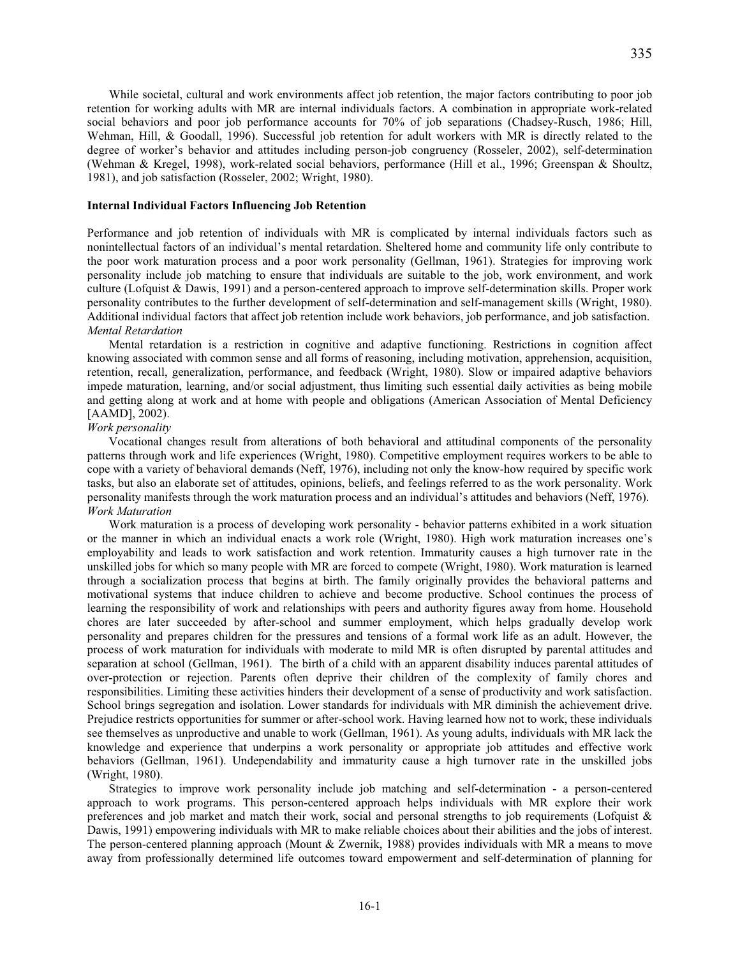While societal, cultural and work environments affect job retention, the major factors contributing to poor job retention for working adults with MR are internal individuals factors. A combination in appropriate work-related social behaviors and poor job performance accounts for 70% of job separations (Chadsey-Rusch, 1986; Hill, Wehman, Hill, & Goodall, 1996). Successful job retention for adult workers with MR is directly related to the degree of worker's behavior and attitudes including person-job congruency (Rosseler, 2002), self-determination (Wehman & Kregel, 1998), work-related social behaviors, performance (Hill et al., 1996; Greenspan & Shoultz, 1981), and job satisfaction (Rosseler, 2002; Wright, 1980).

# **Internal Individual Factors Influencing Job Retention**

Performance and job retention of individuals with MR is complicated by internal individuals factors such as nonintellectual factors of an individual's mental retardation. Sheltered home and community life only contribute to the poor work maturation process and a poor work personality (Gellman, 1961). Strategies for improving work personality include job matching to ensure that individuals are suitable to the job, work environment, and work culture (Lofquist & Dawis, 1991) and a person-centered approach to improve self-determination skills. Proper work personality contributes to the further development of self-determination and self-management skills (Wright, 1980). Additional individual factors that affect job retention include work behaviors, job performance, and job satisfaction. *Mental Retardation* 

Mental retardation is a restriction in cognitive and adaptive functioning. Restrictions in cognition affect knowing associated with common sense and all forms of reasoning, including motivation, apprehension, acquisition, retention, recall, generalization, performance, and feedback (Wright, 1980). Slow or impaired adaptive behaviors impede maturation, learning, and/or social adjustment, thus limiting such essential daily activities as being mobile and getting along at work and at home with people and obligations (American Association of Mental Deficiency [AAMD], 2002).

### *Work personality*

Vocational changes result from alterations of both behavioral and attitudinal components of the personality patterns through work and life experiences (Wright, 1980). Competitive employment requires workers to be able to cope with a variety of behavioral demands (Neff, 1976), including not only the know-how required by specific work tasks, but also an elaborate set of attitudes, opinions, beliefs, and feelings referred to as the work personality. Work personality manifests through the work maturation process and an individual's attitudes and behaviors (Neff, 1976). *Work Maturation* 

Work maturation is a process of developing work personality - behavior patterns exhibited in a work situation or the manner in which an individual enacts a work role (Wright, 1980). High work maturation increases one's employability and leads to work satisfaction and work retention. Immaturity causes a high turnover rate in the unskilled jobs for which so many people with MR are forced to compete (Wright, 1980). Work maturation is learned through a socialization process that begins at birth. The family originally provides the behavioral patterns and motivational systems that induce children to achieve and become productive. School continues the process of learning the responsibility of work and relationships with peers and authority figures away from home. Household chores are later succeeded by after-school and summer employment, which helps gradually develop work personality and prepares children for the pressures and tensions of a formal work life as an adult. However, the process of work maturation for individuals with moderate to mild MR is often disrupted by parental attitudes and separation at school (Gellman, 1961). The birth of a child with an apparent disability induces parental attitudes of over-protection or rejection. Parents often deprive their children of the complexity of family chores and responsibilities. Limiting these activities hinders their development of a sense of productivity and work satisfaction. School brings segregation and isolation. Lower standards for individuals with MR diminish the achievement drive. Prejudice restricts opportunities for summer or after-school work. Having learned how not to work, these individuals see themselves as unproductive and unable to work (Gellman, 1961). As young adults, individuals with MR lack the knowledge and experience that underpins a work personality or appropriate job attitudes and effective work behaviors (Gellman, 1961). Undependability and immaturity cause a high turnover rate in the unskilled jobs (Wright, 1980).

 Strategies to improve work personality include job matching and self-determination - a person-centered approach to work programs. This person-centered approach helps individuals with MR explore their work preferences and job market and match their work, social and personal strengths to job requirements (Lofquist  $\&$ Dawis, 1991) empowering individuals with MR to make reliable choices about their abilities and the jobs of interest. The person-centered planning approach (Mount & Zwernik, 1988) provides individuals with MR a means to move away from professionally determined life outcomes toward empowerment and self-determination of planning for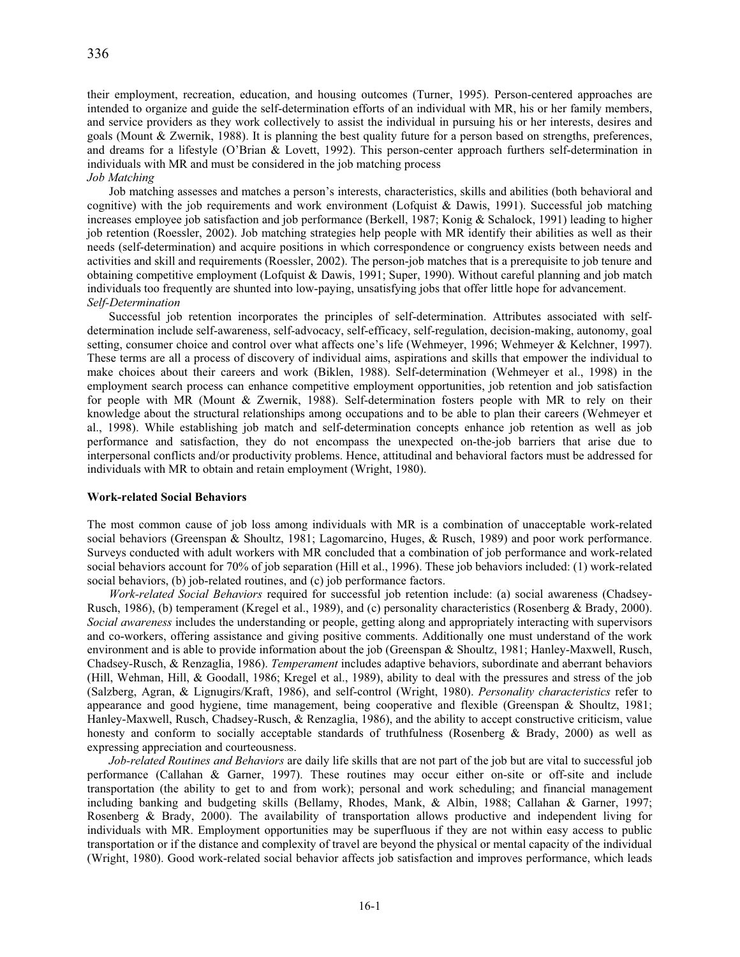their employment, recreation, education, and housing outcomes (Turner, 1995). Person-centered approaches are intended to organize and guide the self-determination efforts of an individual with MR, his or her family members, and service providers as they work collectively to assist the individual in pursuing his or her interests, desires and goals (Mount & Zwernik, 1988). It is planning the best quality future for a person based on strengths, preferences, and dreams for a lifestyle (O'Brian & Lovett, 1992). This person-center approach furthers self-determination in individuals with MR and must be considered in the job matching process

*Job Matching* 

 Job matching assesses and matches a person's interests, characteristics, skills and abilities (both behavioral and cognitive) with the job requirements and work environment (Lofquist & Dawis, 1991). Successful job matching increases employee job satisfaction and job performance (Berkell, 1987; Konig & Schalock, 1991) leading to higher job retention (Roessler, 2002). Job matching strategies help people with MR identify their abilities as well as their needs (self-determination) and acquire positions in which correspondence or congruency exists between needs and activities and skill and requirements (Roessler, 2002). The person-job matches that is a prerequisite to job tenure and obtaining competitive employment (Lofquist & Dawis, 1991; Super, 1990). Without careful planning and job match individuals too frequently are shunted into low-paying, unsatisfying jobs that offer little hope for advancement. *Self-Determination* 

 Successful job retention incorporates the principles of self-determination. Attributes associated with selfdetermination include self-awareness, self-advocacy, self-efficacy, self-regulation, decision-making, autonomy, goal setting, consumer choice and control over what affects one's life (Wehmeyer, 1996; Wehmeyer & Kelchner, 1997). These terms are all a process of discovery of individual aims, aspirations and skills that empower the individual to make choices about their careers and work (Biklen, 1988). Self-determination (Wehmeyer et al., 1998) in the employment search process can enhance competitive employment opportunities, job retention and job satisfaction for people with MR (Mount & Zwernik, 1988). Self-determination fosters people with MR to rely on their knowledge about the structural relationships among occupations and to be able to plan their careers (Wehmeyer et al., 1998). While establishing job match and self-determination concepts enhance job retention as well as job performance and satisfaction, they do not encompass the unexpected on-the-job barriers that arise due to interpersonal conflicts and/or productivity problems. Hence, attitudinal and behavioral factors must be addressed for individuals with MR to obtain and retain employment (Wright, 1980).

## **Work-related Social Behaviors**

The most common cause of job loss among individuals with MR is a combination of unacceptable work-related social behaviors (Greenspan & Shoultz, 1981; Lagomarcino, Huges, & Rusch, 1989) and poor work performance. Surveys conducted with adult workers with MR concluded that a combination of job performance and work-related social behaviors account for 70% of job separation (Hill et al., 1996). These job behaviors included: (1) work-related social behaviors, (b) job-related routines, and (c) job performance factors.

 *Work-related Social Behaviors* required for successful job retention include: (a) social awareness (Chadsey-Rusch, 1986), (b) temperament (Kregel et al., 1989), and (c) personality characteristics (Rosenberg & Brady, 2000). *Social awareness* includes the understanding or people, getting along and appropriately interacting with supervisors and co-workers, offering assistance and giving positive comments. Additionally one must understand of the work environment and is able to provide information about the job (Greenspan & Shoultz, 1981; Hanley-Maxwell, Rusch, Chadsey-Rusch, & Renzaglia, 1986). *Temperament* includes adaptive behaviors, subordinate and aberrant behaviors (Hill, Wehman, Hill, & Goodall, 1986; Kregel et al., 1989), ability to deal with the pressures and stress of the job (Salzberg, Agran, & Lignugirs/Kraft, 1986), and self-control (Wright, 1980). *Personality characteristics* refer to appearance and good hygiene, time management, being cooperative and flexible (Greenspan & Shoultz, 1981; Hanley-Maxwell, Rusch, Chadsey-Rusch, & Renzaglia, 1986), and the ability to accept constructive criticism, value honesty and conform to socially acceptable standards of truthfulness (Rosenberg & Brady, 2000) as well as expressing appreciation and courteousness.

 *Job-related Routines and Behaviors* are daily life skills that are not part of the job but are vital to successful job performance (Callahan & Garner, 1997). These routines may occur either on-site or off-site and include transportation (the ability to get to and from work); personal and work scheduling; and financial management including banking and budgeting skills (Bellamy, Rhodes, Mank, & Albin, 1988; Callahan & Garner, 1997; Rosenberg & Brady, 2000). The availability of transportation allows productive and independent living for individuals with MR. Employment opportunities may be superfluous if they are not within easy access to public transportation or if the distance and complexity of travel are beyond the physical or mental capacity of the individual (Wright, 1980). Good work-related social behavior affects job satisfaction and improves performance, which leads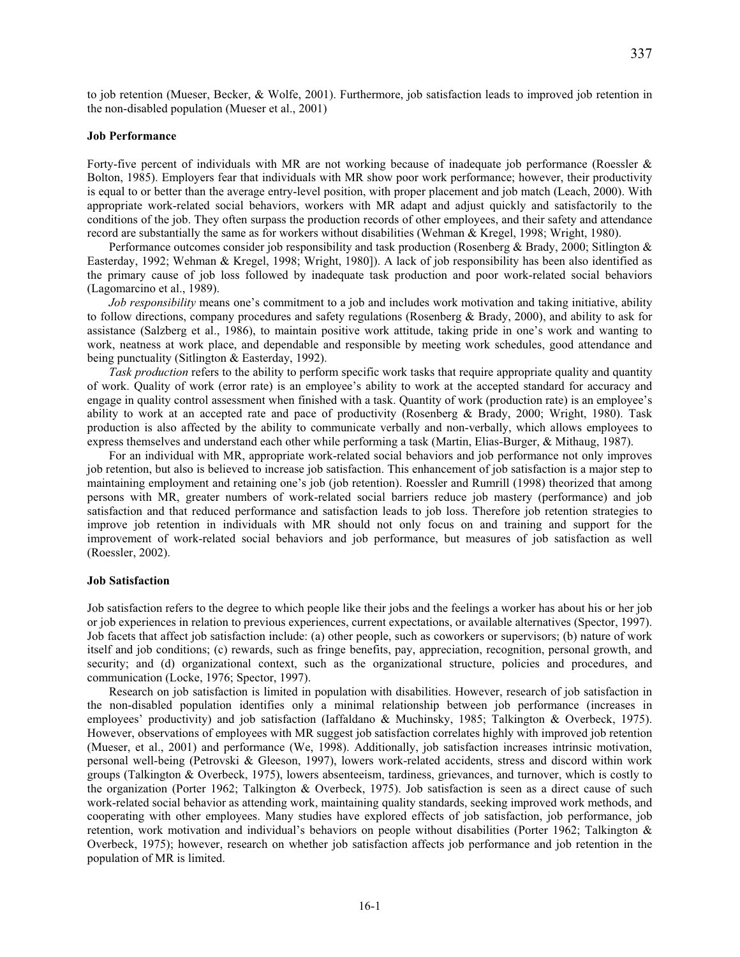to job retention (Mueser, Becker, & Wolfe, 2001). Furthermore, job satisfaction leads to improved job retention in the non-disabled population (Mueser et al., 2001)

#### **Job Performance**

Forty-five percent of individuals with MR are not working because of inadequate job performance (Roessler & Bolton, 1985). Employers fear that individuals with MR show poor work performance; however, their productivity is equal to or better than the average entry-level position, with proper placement and job match (Leach, 2000). With appropriate work-related social behaviors, workers with MR adapt and adjust quickly and satisfactorily to the conditions of the job. They often surpass the production records of other employees, and their safety and attendance record are substantially the same as for workers without disabilities (Wehman & Kregel, 1998; Wright, 1980).

 Performance outcomes consider job responsibility and task production (Rosenberg & Brady, 2000; Sitlington & Easterday, 1992; Wehman & Kregel, 1998; Wright, 1980]). A lack of job responsibility has been also identified as the primary cause of job loss followed by inadequate task production and poor work-related social behaviors (Lagomarcino et al., 1989).

 *Job responsibility* means one's commitment to a job and includes work motivation and taking initiative, ability to follow directions, company procedures and safety regulations (Rosenberg & Brady, 2000), and ability to ask for assistance (Salzberg et al., 1986), to maintain positive work attitude, taking pride in one's work and wanting to work, neatness at work place, and dependable and responsible by meeting work schedules, good attendance and being punctuality (Sitlington & Easterday, 1992).

 *Task production* refers to the ability to perform specific work tasks that require appropriate quality and quantity of work. Quality of work (error rate) is an employee's ability to work at the accepted standard for accuracy and engage in quality control assessment when finished with a task. Quantity of work (production rate) is an employee's ability to work at an accepted rate and pace of productivity (Rosenberg & Brady, 2000; Wright, 1980). Task production is also affected by the ability to communicate verbally and non-verbally, which allows employees to express themselves and understand each other while performing a task (Martin, Elias-Burger, & Mithaug, 1987).

 For an individual with MR, appropriate work-related social behaviors and job performance not only improves job retention, but also is believed to increase job satisfaction. This enhancement of job satisfaction is a major step to maintaining employment and retaining one's job (job retention). Roessler and Rumrill (1998) theorized that among persons with MR, greater numbers of work-related social barriers reduce job mastery (performance) and job satisfaction and that reduced performance and satisfaction leads to job loss. Therefore job retention strategies to improve job retention in individuals with MR should not only focus on and training and support for the improvement of work-related social behaviors and job performance, but measures of job satisfaction as well (Roessler, 2002).

#### **Job Satisfaction**

Job satisfaction refers to the degree to which people like their jobs and the feelings a worker has about his or her job or job experiences in relation to previous experiences, current expectations, or available alternatives (Spector, 1997). Job facets that affect job satisfaction include: (a) other people, such as coworkers or supervisors; (b) nature of work itself and job conditions; (c) rewards, such as fringe benefits, pay, appreciation, recognition, personal growth, and security; and (d) organizational context, such as the organizational structure, policies and procedures, and communication (Locke, 1976; Spector, 1997).

 Research on job satisfaction is limited in population with disabilities. However, research of job satisfaction in the non-disabled population identifies only a minimal relationship between job performance (increases in employees' productivity) and job satisfaction (Iaffaldano & Muchinsky, 1985; Talkington & Overbeck, 1975). However, observations of employees with MR suggest job satisfaction correlates highly with improved job retention (Mueser, et al., 2001) and performance (We, 1998). Additionally, job satisfaction increases intrinsic motivation, personal well-being (Petrovski & Gleeson, 1997), lowers work-related accidents, stress and discord within work groups (Talkington & Overbeck, 1975), lowers absenteeism, tardiness, grievances, and turnover, which is costly to the organization (Porter 1962; Talkington & Overbeck, 1975). Job satisfaction is seen as a direct cause of such work-related social behavior as attending work, maintaining quality standards, seeking improved work methods, and cooperating with other employees. Many studies have explored effects of job satisfaction, job performance, job retention, work motivation and individual's behaviors on people without disabilities (Porter 1962; Talkington & Overbeck, 1975); however, research on whether job satisfaction affects job performance and job retention in the population of MR is limited.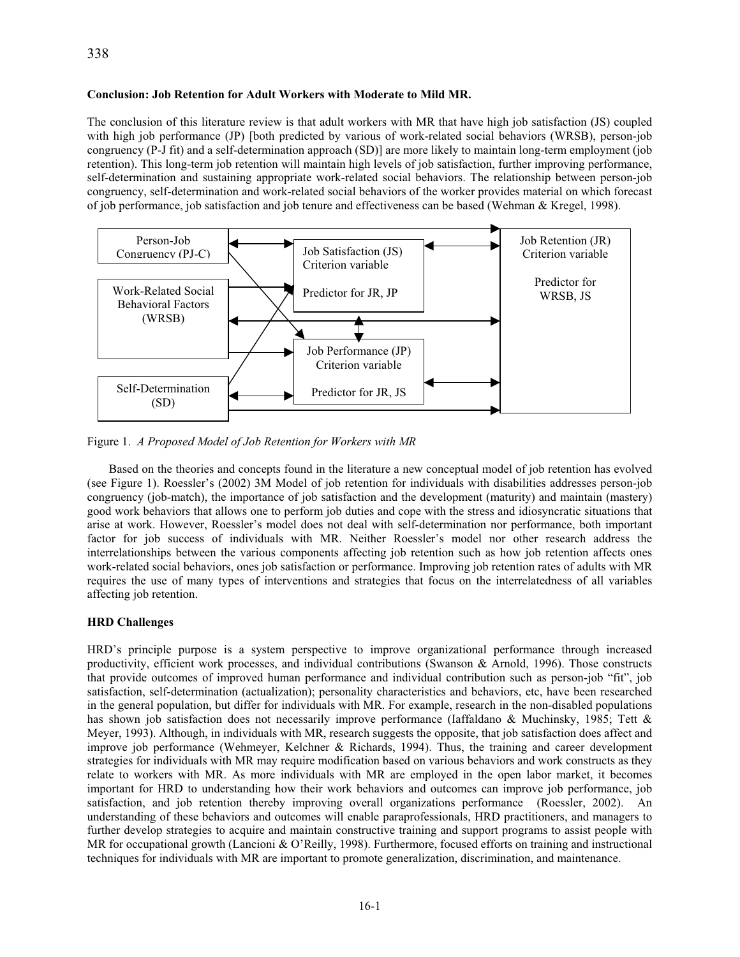## **Conclusion: Job Retention for Adult Workers with Moderate to Mild MR.**

The conclusion of this literature review is that adult workers with MR that have high job satisfaction (JS) coupled with high job performance (JP) [both predicted by various of work-related social behaviors (WRSB), person-job congruency (P-J fit) and a self-determination approach (SD)] are more likely to maintain long-term employment (job retention). This long-term job retention will maintain high levels of job satisfaction, further improving performance, self-determination and sustaining appropriate work-related social behaviors. The relationship between person-job congruency, self-determination and work-related social behaviors of the worker provides material on which forecast of job performance, job satisfaction and job tenure and effectiveness can be based (Wehman & Kregel, 1998).



Figure 1. *A Proposed Model of Job Retention for Workers with MR*

 Based on the theories and concepts found in the literature a new conceptual model of job retention has evolved (see Figure 1). Roessler's (2002) 3M Model of job retention for individuals with disabilities addresses person-job congruency (job-match), the importance of job satisfaction and the development (maturity) and maintain (mastery) good work behaviors that allows one to perform job duties and cope with the stress and idiosyncratic situations that arise at work. However, Roessler's model does not deal with self-determination nor performance, both important factor for job success of individuals with MR. Neither Roessler's model nor other research address the interrelationships between the various components affecting job retention such as how job retention affects ones work-related social behaviors, ones job satisfaction or performance. Improving job retention rates of adults with MR requires the use of many types of interventions and strategies that focus on the interrelatedness of all variables affecting job retention.

# **HRD Challenges**

HRD's principle purpose is a system perspective to improve organizational performance through increased productivity, efficient work processes, and individual contributions (Swanson & Arnold, 1996). Those constructs that provide outcomes of improved human performance and individual contribution such as person-job "fit", job satisfaction, self-determination (actualization); personality characteristics and behaviors, etc, have been researched in the general population, but differ for individuals with MR. For example, research in the non-disabled populations has shown job satisfaction does not necessarily improve performance (Iaffaldano & Muchinsky, 1985; Tett & Meyer, 1993). Although, in individuals with MR, research suggests the opposite, that job satisfaction does affect and improve job performance (Wehmeyer, Kelchner & Richards, 1994). Thus, the training and career development strategies for individuals with MR may require modification based on various behaviors and work constructs as they relate to workers with MR. As more individuals with MR are employed in the open labor market, it becomes important for HRD to understanding how their work behaviors and outcomes can improve job performance, job satisfaction, and job retention thereby improving overall organizations performance (Roessler, 2002). An understanding of these behaviors and outcomes will enable paraprofessionals, HRD practitioners, and managers to further develop strategies to acquire and maintain constructive training and support programs to assist people with MR for occupational growth (Lancioni & O'Reilly, 1998). Furthermore, focused efforts on training and instructional techniques for individuals with MR are important to promote generalization, discrimination, and maintenance.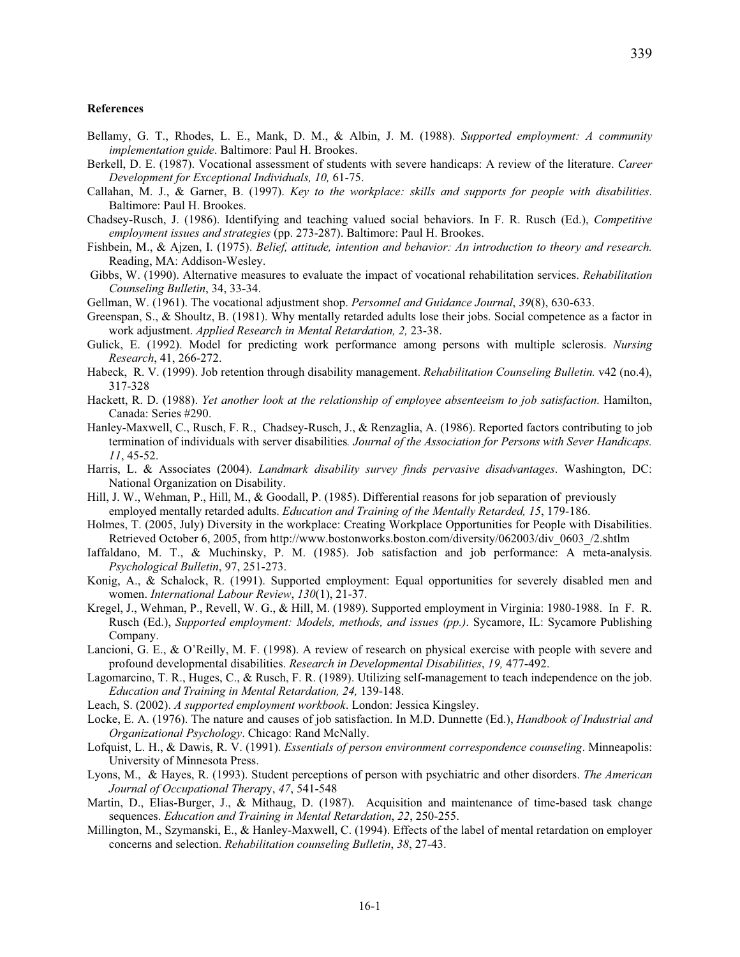#### **References**

- Bellamy, G. T., Rhodes, L. E., Mank, D. M., & Albin, J. M. (1988). *Supported employment: A community implementation guide*. Baltimore: Paul H. Brookes.
- Berkell, D. E. (1987). Vocational assessment of students with severe handicaps: A review of the literature. *Career Development for Exceptional Individuals, 10,* 61-75.
- Callahan, M. J., & Garner, B. (1997). *Key to the workplace: skills and supports for people with disabilities*. Baltimore: Paul H. Brookes.
- Chadsey-Rusch, J. (1986). Identifying and teaching valued social behaviors. In F. R. Rusch (Ed.), *Competitive employment issues and strategies* (pp. 273-287). Baltimore: Paul H. Brookes.
- Fishbein, M., & Ajzen, I. (1975). *Belief, attitude, intention and behavior: An introduction to theory and research.* Reading, MA: Addison-Wesley.
- Gibbs, W. (1990). Alternative measures to evaluate the impact of vocational rehabilitation services. *Rehabilitation Counseling Bulletin*, 34, 33-34.
- Gellman, W. (1961). The vocational adjustment shop. *Personnel and Guidance Journal*, *39*(8), 630-633.
- Greenspan, S., & Shoultz, B. (1981). Why mentally retarded adults lose their jobs. Social competence as a factor in work adjustment. *Applied Research in Mental Retardation, 2,* 23-38.
- Gulick, E. (1992). Model for predicting work performance among persons with multiple sclerosis. *Nursing Research*, 41, 266-272.
- Habeck, R. V. (1999). Job retention through disability management. *Rehabilitation Counseling Bulletin.* v42 (no.4), 317-328
- Hackett, R. D. (1988). *Yet another look at the relationship of employee absenteeism to job satisfaction*. Hamilton, Canada: Series #290.
- Hanley-Maxwell, C., Rusch, F. R., Chadsey-Rusch, J., & Renzaglia, A. (1986). Reported factors contributing to job termination of individuals with server disabilities*. Journal of the Association for Persons with Sever Handicaps. 11*, 45-52.
- Harris, L. & Associates (2004). *Landmark disability survey finds pervasive disadvantages*. Washington, DC: National Organization on Disability.
- Hill, J. W., Wehman, P., Hill, M., & Goodall, P. (1985). Differential reasons for job separation of previously employed mentally retarded adults. *Education and Training of the Mentally Retarded, 15*, 179-186.
- Holmes, T. (2005, July) Diversity in the workplace: Creating Workplace Opportunities for People with Disabilities. Retrieved October 6, 2005, from http://www.bostonworks.boston.com/diversity/062003/div\_0603\_/2.shtlm
- Iaffaldano, M. T., & Muchinsky, P. M. (1985). Job satisfaction and job performance: A meta-analysis. *Psychological Bulletin*, 97, 251-273.
- Konig, A., & Schalock, R. (1991). Supported employment: Equal opportunities for severely disabled men and women. *International Labour Review*, *130*(1), 21-37.
- Kregel, J., Wehman, P., Revell, W. G., & Hill, M. (1989). Supported employment in Virginia: 1980-1988. In F. R. Rusch (Ed.), *Supported employment: Models, methods, and issues (pp.)*. Sycamore, IL: Sycamore Publishing Company.
- Lancioni, G. E., & O'Reilly, M. F. (1998). A review of research on physical exercise with people with severe and profound developmental disabilities. *Research in Developmental Disabilities*, *19,* 477-492.
- Lagomarcino, T. R., Huges, C., & Rusch, F. R. (1989). Utilizing self-management to teach independence on the job. *Education and Training in Mental Retardation, 24,* 139-148.
- Leach, S. (2002). *A supported employment workbook*. London: Jessica Kingsley.
- Locke, E. A. (1976). The nature and causes of job satisfaction. In M.D. Dunnette (Ed.), *Handbook of Industrial and Organizational Psychology*. Chicago: Rand McNally.
- Lofquist, L. H., & Dawis, R. V. (1991). *Essentials of person environment correspondence counseling*. Minneapolis: University of Minnesota Press.
- Lyons, M., & Hayes, R. (1993). Student perceptions of person with psychiatric and other disorders. *The American Journal of Occupational Therap*y, *47*, 541-548
- Martin, D., Elias-Burger, J., & Mithaug, D. (1987). Acquisition and maintenance of time-based task change sequences. *Education and Training in Mental Retardation*, *22*, 250-255.
- Millington, M., Szymanski, E., & Hanley-Maxwell, C. (1994). Effects of the label of mental retardation on employer concerns and selection. *Rehabilitation counseling Bulletin*, *38*, 27-43.